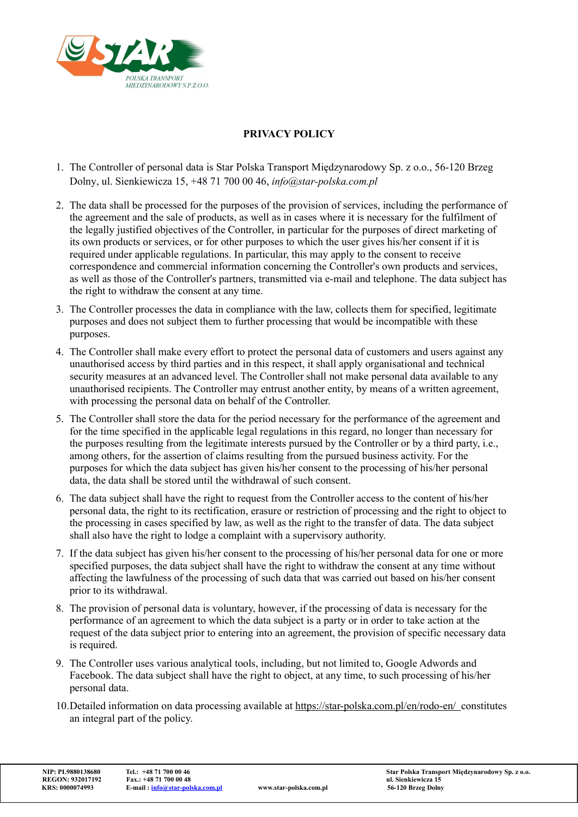

## PRIVACY POLICY

- 1. The Controller of personal data is Star Polska Transport Międzynarodowy Sp. z o.o., 56-120 Brzeg Dolny, ul. Sienkiewicza 15, +48 71 700 00 46, info@star-polska.com.pl
- 2. The data shall be processed for the purposes of the provision of services, including the performance of the agreement and the sale of products, as well as in cases where it is necessary for the fulfilment of the legally justified objectives of the Controller, in particular for the purposes of direct marketing of its own products or services, or for other purposes to which the user gives his/her consent if it is required under applicable regulations. In particular, this may apply to the consent to receive correspondence and commercial information concerning the Controller's own products and services, as well as those of the Controller's partners, transmitted via e-mail and telephone. The data subject has the right to withdraw the consent at any time.
- 3. The Controller processes the data in compliance with the law, collects them for specified, legitimate purposes and does not subject them to further processing that would be incompatible with these purposes.
- 4. The Controller shall make every effort to protect the personal data of customers and users against any unauthorised access by third parties and in this respect, it shall apply organisational and technical security measures at an advanced level. The Controller shall not make personal data available to any unauthorised recipients. The Controller may entrust another entity, by means of a written agreement, with processing the personal data on behalf of the Controller.
- 5. The Controller shall store the data for the period necessary for the performance of the agreement and for the time specified in the applicable legal regulations in this regard, no longer than necessary for the purposes resulting from the legitimate interests pursued by the Controller or by a third party, i.e., among others, for the assertion of claims resulting from the pursued business activity. For the purposes for which the data subject has given his/her consent to the processing of his/her personal data, the data shall be stored until the withdrawal of such consent.
- 6. The data subject shall have the right to request from the Controller access to the content of his/her personal data, the right to its rectification, erasure or restriction of processing and the right to object to the processing in cases specified by law, as well as the right to the transfer of data. The data subject shall also have the right to lodge a complaint with a supervisory authority.
- 7. If the data subject has given his/her consent to the processing of his/her personal data for one or more specified purposes, the data subject shall have the right to withdraw the consent at any time without affecting the lawfulness of the processing of such data that was carried out based on his/her consent prior to its withdrawal.
- 8. The provision of personal data is voluntary, however, if the processing of data is necessary for the performance of an agreement to which the data subject is a party or in order to take action at the request of the data subject prior to entering into an agreement, the provision of specific necessary data is required.
- 9. The Controller uses various analytical tools, including, but not limited to, Google Adwords and Facebook. The data subject shall have the right to object, at any time, to such processing of his/her personal data.
- 10.Detailed information on data processing available at https://star-polska.com.pl/en/rodo-en/ constitutes an integral part of the policy.